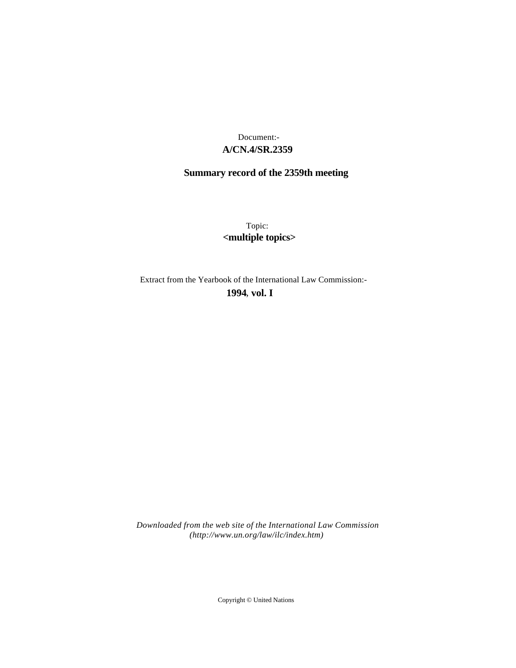# **A/CN.4/SR.2359** Document:-

# **Summary record of the 2359th meeting**

Topic: **<multiple topics>**

Extract from the Yearbook of the International Law Commission:-

**1994** , **vol. I**

*Downloaded from the web site of the International Law Commission (http://www.un.org/law/ilc/index.htm)*

Copyright © United Nations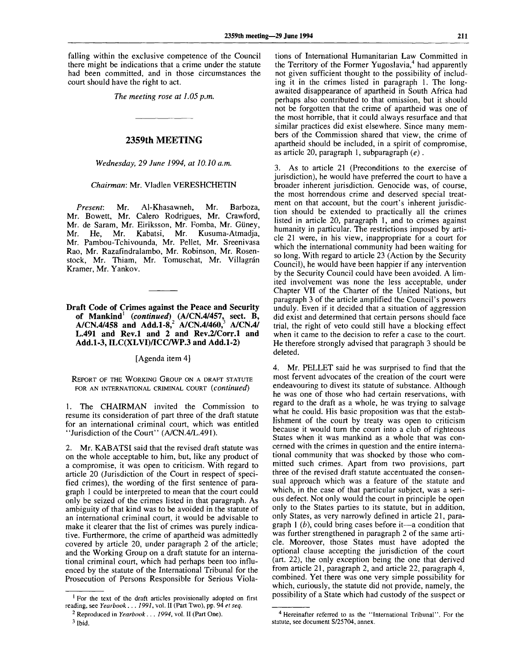falling within the exclusive competence of the Council there might be indications that a crime under the statute had been committed, and in those circumstances the court should have the right to act.

*The meeting rose at 1.05 p.m.*

## **2359th MEETING**

*Wednesday, 29 June 1994, at 10.10 a.m.*

#### *Chairman:* Mr. Vladlen VERESHCHETIN

*Present:* Mr. Al-Khasawneh, Mr. Barboza, Mr. Bowett, Mr. Calero Rodrigues, Mr. Crawford, Mr. de Saram, Mr. Eiriksson, Mr. Fomba, Mr. Giiney, Mr. He, Mr. Kabatsi, Mr. Kusuma-Atmadja, Mr. Pambou-Tchivounda, Mr. Pellet, Mr. Sreenivasa Rao, Mr. Razafindralambo, Mr. Robinson, Mr. Rosenstock, Mr. Thiam, Mr. Tomuschat, Mr. Villagrán Kramer, Mr. Yankov.

**Draft Code of Crimes against the Peace and Security of Mankind<sup>1</sup>**  *(continued)* **(A/CN.4/457, sect. B, A/CN.4/458 and Add.1-8,<sup>2</sup> A/CN.4/460,<sup>3</sup> A/CN.4/ L.491 and Rev.l and 2 and Rev.2/Corr.l and Add.1-3, ILC(XLVI)/ICC/WP.3 and Add.1-2)**

[Agenda item 4]

REPORT OF THE WORKING GROUP ON A DRAFT STATUTE FOR AN INTERNATIONAL CRIMINAL COURT *(continued)*

1. The CHAIRMAN invited the Commission to resume its consideration of part three of the draft statute for an international criminal court, which was entitled "Jurisdiction of the Court" (A/CN.4/L.491).

2. Mr. KABATSI said that the revised draft statute was on the whole acceptable to him, but, like any product of a compromise, it was open to criticism. With regard to article 20 (Jurisdiction of the Court in respect of specified crimes), the wording of the first sentence of paragraph 1 could be interpreted to mean that the court could only be seized of the crimes listed in that paragraph. As ambiguity of that kind was to be avoided in the statute of an international criminal court, it would be advisable to make it clearer that the list of crimes was purely indicative. Furthermore, the crime of apartheid was admittedly covered by article 20, under paragraph 2 of the article; and the Working Group on a draft statute for an international criminal court, which had perhaps been too influenced by the statute of the International Tribunal for the Prosecution of Persons Responsible for Serious Violations of International Humanitarian Law Committed in the Territory of the Former Yugoslavia,<sup>4</sup> had apparently not given sufficient thought to the possibility of including it in the crimes listed in paragraph 1. The longawaited disappearance of apartheid in South Africa had perhaps also contributed to that omission, but it should not be forgotten that the crime of apartheid was one of the most horrible, that it could always resurface and that similar practices did exist elsewhere. Since many members of the Commission shared that view, the crime of apartheid should be included, in a spirit of compromise, as article 20, paragraph 1, subparagraph *(e).*

3. As to article 21 (Preconditions to the exercise of jurisdiction), he would have preferred the court to have a broader inherent jurisdiction. Genocide was, of course, the most horrendous crime and deserved special treatment on that account, but the court's inherent jurisdiction should be extended to practically all the crimes listed in article 20, paragraph 1, and to crimes against humanity in particular. The restrictions imposed by article 21 were, in his view, inappropriate for a court for which the international community had been waiting for so long. With regard to article 23 (Action by the Security Council), he would have been happier if any intervention by the Security Council could have been avoided. A limited involvement was none the less acceptable, under Chapter VII of the Charter of the United Nations, but paragraph 3 of the article amplified the Council's powers unduly. Even if it decided that a situation of aggression did exist and determined that certain persons should face trial, the right of veto could still have a blocking effect when it came to the decision to refer a case to the court. He therefore strongly advised that paragraph 3 should be deleted.

4. Mr. PELLET said he was surprised to find that the most fervent advocates of the creation of the court were endeavouring to divest its statute of substance. Although he was one of those who had certain reservations, with regard to the draft as a whole, he was trying to salvage what he could. His basic proposition was that the establishment of the court by treaty was open to criticism because it would turn the court into a club of righteous States when it was mankind as a whole that was concerned with the crimes in question and the entire international community that was shocked by those who committed such crimes. Apart from two provisions, part three of the revised draft statute accentuated the consensual approach which was a feature of the statute and which, in the case of that particular subject, was a serious defect. Not only would the court in principle be open only to the States parties to its statute, but in addition, only States, as very narrowly defined in article 21, paragraph 1 *(b),* could bring cases before it—a condition that was further strengthened in paragraph 2 of the same article. Moreover, those States must have adopted the optional clause accepting the jurisdiction of the court (art. 22), the only exception being the one that derived from article 21, paragraph 2, and article 22, paragraph 4, combined. Yet there was one very simple possibility for which, curiously, the statute did not provide, namely, the possibility of a State which had custody of the suspect or

<sup>&</sup>lt;sup>1</sup> For the text of the draft articles provisionally adopted on first reading, see *Yearbook . . . 1991,* vol. II (Part Two), pp. 94 *et seq.*

*<sup>2</sup>* Reproduced in *Yearbook . . . 1994,* vol. II (Part One).

 $3$  Ibid.

<sup>&</sup>lt;sup>4</sup> Hereinafter referred to as the "International Tribunal". For the statute, see document S/25704, annex.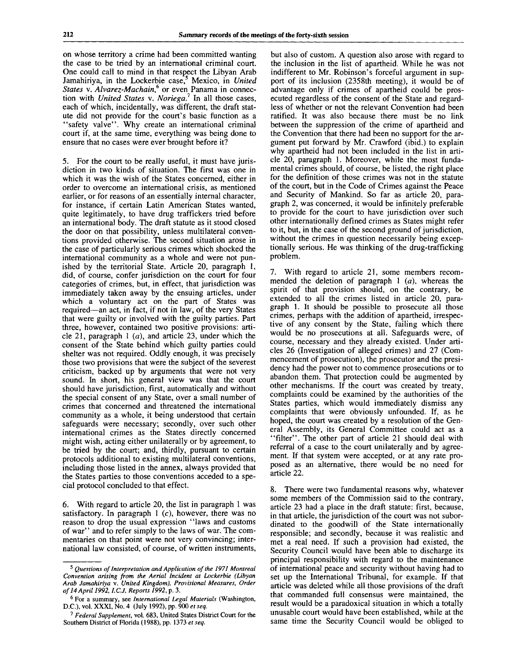on whose territory a crime had been committed wanting the case to be tried by an international criminal court. One could call to mind in that respect the Libyan Arab Jamahiriya, in the Lockerbie case,<sup>5</sup> Mexico, in United *States* v. *Alvarez-Machain,<sup>6</sup>* or even Panama in connection with *United States* v. *Noriega.<sup>1</sup>* In all those cases, each of which, incidentally, was different, the draft statute did not provide for the court's basic function as a "safety valve". Why create an international criminal court if, at the same time, everything was being done to ensure that no cases were ever brought before it?

5. For the court to be really useful, it must have jurisdiction in two kinds of situation. The first was one in which it was the wish of the States concerned, either in order to overcome an international crisis, as mentioned earlier, or for reasons of an essentially internal character, for instance, if certain Latin American States wanted, quite legitimately, to have drug traffickers tried before an international body. The draft statute as it stood closed the door on that possibility, unless multilateral conventions provided otherwise. The second situation arose in the case of particularly serious crimes which shocked the international community as a whole and were not punished by the territorial State. Article 20, paragraph 1, did, of course, confer jurisdiction on the court for four categories of crimes, but, in effect, that jurisdiction was immediately taken away by the ensuing articles, under which a voluntary act on the part of States was required—an act, in fact, if not in law, of the very States that were guilty or involved with the guilty parties. Part three, however, contained two positive provisions: article 21, paragraph 1 *(a),* and article 23, under which the consent of the State behind which guilty parties could shelter was not required. Oddly enough, it was precisely those two provisions that were the subject of the severest criticism, backed up by arguments that were not very sound. In short, his general view was that the court should have jurisdiction, first, automatically and without the special consent of any State, over a small number of crimes that concerned and threatened the international community as a whole, it being understood that certain safeguards were necessary; secondly, over such other international crimes as the States directly concerned might wish, acting either unilaterally or by agreement, to be tried by the court; and, thirdly, pursuant to certain protocols additional to existing multilateral conventions, including those listed in the annex, always provided that the States parties to those conventions acceded to a special protocol concluded to that effect.

6. With regard to article 20, the list in paragraph 1 was satisfactory. In paragraph  $1$  (c), however, there was no reason to drop the usual expression "laws and customs of war'' and to refer simply to the laws of war. The commentaries on that point were not very convincing; international law consisted, of course, of written instruments,

but also of custom. A question also arose with regard to the inclusion in the list of apartheid. While he was not indifferent to Mr. Robinson's forceful argument in support of its inclusion (2358th meeting), it would be of advantage only if crimes of apartheid could be prosecuted regardless of the consent of the State and regardless of whether or not the relevant Convention had been ratified. It was also because there must be no link between the suppression of the crime of apartheid and the Convention that there had been no support for the argument put forward by Mr. Crawford (ibid.) to explain why apartheid had not been included in the list in article 20, paragraph 1. Moreover, while the most fundamental crimes should, of course, be listed, the right place for the definition of those crimes was not in the statute of the court, but in the Code of Crimes against the Peace and Security of Mankind. So far as article 20, paragraph 2, was concerned, it would be infinitely preferable to provide for the court to have jurisdiction over such other internationally defined crimes as States might refer to it, but, in the case of the second ground of jurisdiction, without the crimes in question necessarily being exceptionally serious. He was thinking of the drug-trafficking problem.

7. With regard to article 21, some members recommended the deletion of paragraph 1 *(a),* whereas the spirit of that provision should, on the contrary, be extended to all the crimes listed in article 20, paragraph 1. It should be possible to prosecute all those crimes, perhaps with the addition of apartheid, irrespective of any consent by the State, failing which there would be no prosecutions at all. Safeguards were, of course, necessary and they already existed. Under articles 26 (Investigation of alleged crimes) and 27 (Commencement of prosecution), the prosecutor and the presidency had the power not to commence prosecutions or to abandon them. That protection could be augmented by other mechanisms. If the court was created by treaty, complaints could be examined by the authorities of the States parties, which would immediately dismiss any complaints that were obviously unfounded. If, as he hoped, the court was created by a resolution of the General Assembly, its General Committee could act as a "filter". The other part of article 21 should deal with referral of a case to the court unilaterally and by agreement. If that system were accepted, or at any rate proposed as an alternative, there would be no need for article 22.

There were two fundamental reasons why, whatever some members of the Commission said to the contrary, article 23 had a place in the draft statute: first, because, in that article, the jurisdiction of the court was not subordinated to the goodwill of the State internationally responsible; and secondly, because it was realistic and met a real need. If such a provision had existed, the Security Council would have been able to discharge its principal responsibility with regard to the maintenance of international peace and security without having had to set up the International Tribunal, for example. If that article was deleted while all those provisions of the draft that commanded full consensus were maintained, the result would be a paradoxical situation in which a totally unusable court would have been established, while at the same time the Security Council would be obliged to

<sup>5</sup>  *Questions of Interpretation and Application of the 1971 Montreal Convention arising from the Aerial Incident at Lockerbie (Libyan Arab Jamahiriya* v. *United Kingdom), Provisional Measures, Order of 14 April 1992, I.C.J. Reports 1992,* p. 3.

<sup>6</sup> For a summary, see *International Legal Materials* (Washington, D.C.), vol. XXXI, No. 4 (July 1992), pp. 900 *et seq.*

<sup>7</sup>  *Federal Supplement,* vol. 683, United States District Court for the Southern District of Florida (1988), pp. 1373 *et seq.*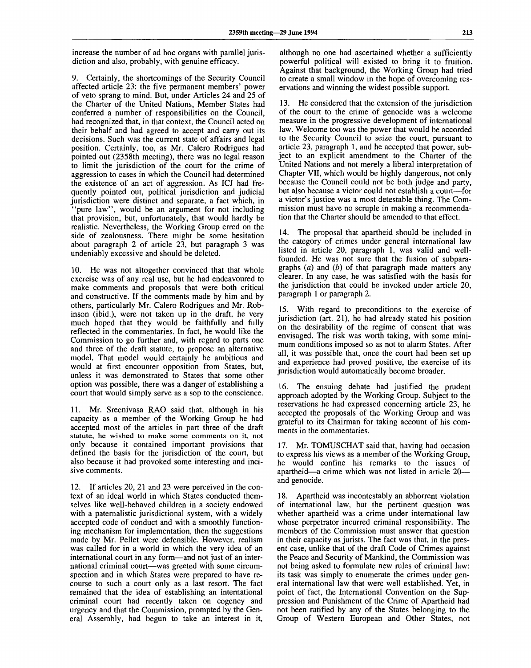increase the number of ad hoc organs with parallel jurisdiction and also, probably, with genuine efficacy.

9. Certainly, the shortcomings of the Security Council affected article 23: the five permanent members' power of veto sprang to mind. But, under Articles 24 and 25 of the Charter of the United Nations, Member States had conferred a number of responsibilities on the Council, had recognized that, in that context, the Council acted on their behalf and had agreed to accept and carry out its decisions. Such was the current state of affairs and legal position. Certainly, too, as Mr. Calero Rodrigues had pointed out (2358th meeting), there was no legal reason to limit the jurisdiction of the court for the crime of aggression to cases in which the Council had determined the existence of an act of aggression. As ICJ had frequently pointed out, political jurisdiction and judicial jurisdiction were distinct and separate, a fact which, in 'pure law'', would be an argument for not including that provision, but, unfortunately, that would hardly be realistic. Nevertheless, the Working Group erred on the side of zealousness. There might be some hesitation about paragraph 2 of article  $2\overline{3}$ , but paragraph 3 was undeniably excessive and should be deleted.

10. He was not altogether convinced that that whole exercise was of any real use, but he had endeavoured to make comments and proposals that were both critical and constructive. If the comments made by him and by others, particularly Mr. Calero Rodrigues and Mr. Robinson (ibid.), were not taken up in the draft, he very much hoped that they would be faithfully and fully reflected in the commentaries. In fact, he would like the Commission to go further and, with regard to parts one and three of the draft statute, to propose an alternative model. That model would certainly be ambitious and would at first encounter opposition from States, but, unless it was demonstrated to States that some other option was possible, there was a danger of establishing a court that would simply serve as a sop to the conscience.

11. Mr. Sreenivasa RAO said that, although in his capacity as a member of the Working Group he had accepted most of the articles in part three of the draft statute, he wished to make some comments on it, not only because it contained important provisions that defined the basis for the jurisdiction of the court, but also because it had provoked some interesting and incisive comments.

12. If articles 20, 21 and 23 were perceived in the context of an ideal world in which States conducted themselves like well-behaved children in a society endowed with a paternalistic jurisdictional system, with a widely accepted code of conduct and with a smoothly functioning mechanism for implementation, then the suggestions made by Mr. Pellet were defensible. However, realism was called for in a world in which the very idea of an international court in any form—and not just of an international criminal court—was greeted with some circumspection and in which States were prepared to have recourse to such a court only as a last resort. The fact remained that the idea of establishing an international criminal court had recently taken on cogency and urgency and that the Commission, prompted by the General Assembly, had begun to take an interest in it,

although no one had ascertained whether a sufficiently powerful political will existed to bring it to fruition. Against that background, the Working Group had tried to create a small window in the hope of overcoming reservations and winning the widest possible support.

13. He considered that the extension of the jurisdiction of the court to the crime of genocide was a welcome measure in the progressive development of international law. Welcome too was the power that would be accorded to the Security Council to seize the court, pursuant to article 23, paragraph 1, and he accepted that power, subject to an explicit amendment to the Charter of the United Nations and not merely a liberal interpretation of Chapter VII, which would be highly dangerous, not only because the Council could not be both judge and party, but also because a victor could not establish a court—for a victor's justice was a most detestable thing. The Commission must have no scruple in making a recommendation that the Charter should be amended to that effect.

14. The proposal that apartheid should be included in the category of crimes under general international law listed in article 20, paragraph 1, was valid and wellfounded. He was not sure that the fusion of subparagraphs *(a)* and *(b)* of that paragraph made matters any clearer. In any case, he was satisfied with the basis for the jurisdiction that could be invoked under article 20, paragraph 1 or paragraph 2.

15. With regard to preconditions to the exercise of jurisdiction (art. 21), he had already stated his position on the desirability of the regime of consent that was envisaged. The risk was worth taking, with some minimum conditions imposed so as not to alarm States. After all, it was possible that, once the court had been set up and experience had proved positive, the exercise of its jurisdiction would automatically become broader.

16. The ensuing debate had justified the prudent approach adopted by the Working Group. Subject to the reservations he had expressed concerning article 23, he accepted the proposals of the Working Group and was grateful to its Chairman for taking account of his comments in the commentaries.

17. Mr. TOMUSCHAT said that, having had occasion to express his views as a member of the Working Group, he would confine his remarks to the issues of apartheid—a crime which was not listed in article 20 and genocide.

18. Apartheid was incontestably an abhorrent violation of international law, but the pertinent question was whether apartheid was a crime under international law whose perpetrator incurred criminal responsibility. The members of the Commission must answer that question in their capacity as jurists. The fact was that, in the present case, unlike that of the draft Code of Crimes against the Peace and Security of Mankind, the Commission was not being asked to formulate new rules of criminal law: its task was simply to enumerate the crimes under general international law that were well established. Yet, in point of fact, the International Convention on the Suppression and Punishment of the Crime of Apartheid had not been ratified by any of the States belonging to the Group of Western European and Other States, not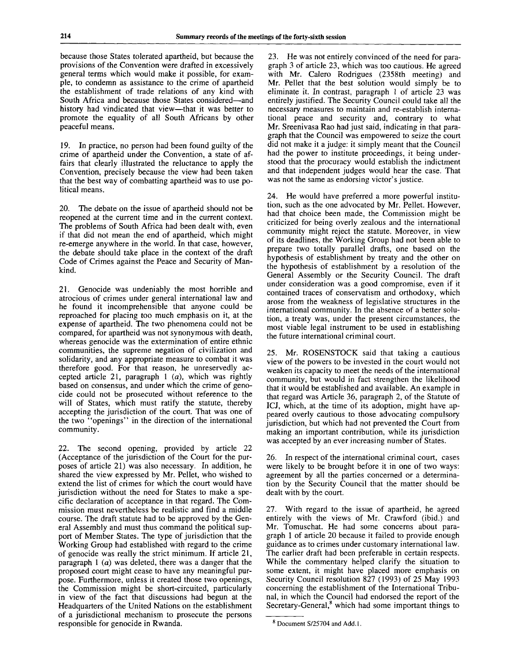because those States tolerated apartheid, but because the provisions of the Convention were drafted in excessively general terms which would make it possible, for example, to condemn as assistance to the crime of apartheid the establishment of trade relations of any kind with South Africa and because those States considered—and history had vindicated that view—that it was better to promote the equality of all South Africans by other peaceful means.

19. In practice, no person had been found guilty of the crime of apartheid under the Convention, a state of affairs that clearly illustrated the reluctance to apply the Convention, precisely because the view had been taken that the best way of combatting apartheid was to use political means.

20. The debate on the issue of apartheid should not be reopened at the current time and in the current context. The problems of South Africa had been dealt with, even if that did not mean the end of apartheid, which might re-emerge anywhere in the world. In that case, however, the debate should take place in the context of the draft Code of Crimes against the Peace and Security of Mankind.

21. Genocide was undeniably the most horrible and atrocious of crimes under general international law and he found it incomprehensible that anyone could be reproached for placing too much emphasis on it, at the expense of apartheid. The two phenomena could not be compared, for apartheid was not synonymous with death, whereas genocide was the extermination of entire ethnic communities, the supreme negation of civilization and solidarity, and any appropriate measure to combat it was therefore good. For that reason, he unreservedly accepted article 21, paragraph 1 *(a),* which was rightly based on consensus, and under which the crime of genocide could not be prosecuted without reference to the will of States, which must ratify the statute, thereby accepting the jurisdiction of the court. That was one of the two "openings" in the direction of the international community.

22. The second opening, provided by article 22 (Acceptance of the jurisdiction of the Court for the purposes of article 21) was also necessary. In addition, he shared the view expressed by Mr. Pellet, who wished to extend the list of crimes for which the court would have jurisdiction without the need for States to make a specific declaration of acceptance in that regard. The Commission must nevertheless be realistic and find a middle course. The draft statute had to be approved by the General Assembly and must thus command the political support of Member States. The type of jurisdiction that the Working Group had established with regard to the crime of genocide was really the strict minimum. If article 21, paragraph  $1(a)$  was deleted, there was a danger that the proposed court might cease to have any meaningful purpose. Furthermore, unless it created those two openings, the Commission might be short-circuited, particularly in view of the fact that discussions had begun at the Headquarters of the United Nations on the establishment of a jurisdictional mechanism to prosecute the persons responsible for genocide in Rwanda.

23. He was not entirely convinced of the need for paragraph 3 of article 23, which was too cautious. He agreed with Mr. Calero Rodrigues (2358th meeting) and Mr. Pellet that the best solution would simply be to eliminate it. In contrast, paragraph 1 of article 23 was entirely justified. The Security Council could take all the necessary measures to maintain and re-establish international peace and security and, contrary to what Mr. Sreenivasa Rao had just said, indicating in that paragraph that the Council was empowered to seize the court did not make it a judge: it simply meant that the Council had the power to institute proceedings, it being understood that the procuracy would establish the indictment and that independent judges would hear the case. That was not the same as endorsing victor's justice.

24. He would have preferred a more powerful institution, such as the one advocated by Mr. Pellet. However, had that choice been made, the Commission might be criticized for being overly zealous and the international community might reject the statute. Moreover, in view of its deadlines, the Working Group had not been able to prepare two totally parallel drafts, one based on the hypothesis of establishment by treaty and the other on the hypothesis of establishment by a resolution of the General Assembly or the Security Council. The draft under consideration was a good compromise, even if it contained traces of conservatism and orthodoxy, which arose from the weakness of legislative structures in the international community. In the absence of a better solution, a treaty was, under the present circumstances, the most viable legal instrument to be used in establishing the future international criminal court.

25. Mr. ROSENSTOCK said that taking a cautious view of the powers to be invested in the court would not weaken its capacity to meet the needs of the international community, but would in fact strengthen the likelihood that it would be established and available. An example in that regard was Article 36, paragraph 2, of the Statute of ICJ, which, at the time of its adoption, might have appeared overly cautious to those advocating compulsory jurisdiction, but which had not prevented the Court from making an important contribution, while its jurisdiction was accepted by an ever increasing number of States.

26. In respect of the international criminal court, cases were likely to be brought before it in one of two ways: agreement by all the parties concerned or a determination by the Security Council that the matter should be dealt with by the court.

27. With regard to the issue of apartheid, he agreed entirely with the views of Mr. Crawford (ibid.) and Mr. Tomuschat. He had some concerns about paragraph 1 of article 20 because it failed to provide enough guidance as to crimes under customary international law. The earlier draft had been preferable in certain respects. While the commentary helped clarify the situation to some extent, it might have placed more emphasis on Security Council resolution 827 (1993) of 25 May 1993 concerning the establishment of the International Tribunal, in which the Council had endorsed the report of the Secretary-General,  $\overset{8}{\circ}$  which had some important things to

<sup>&</sup>lt;sup>8</sup> Document S/25704 and Add.1.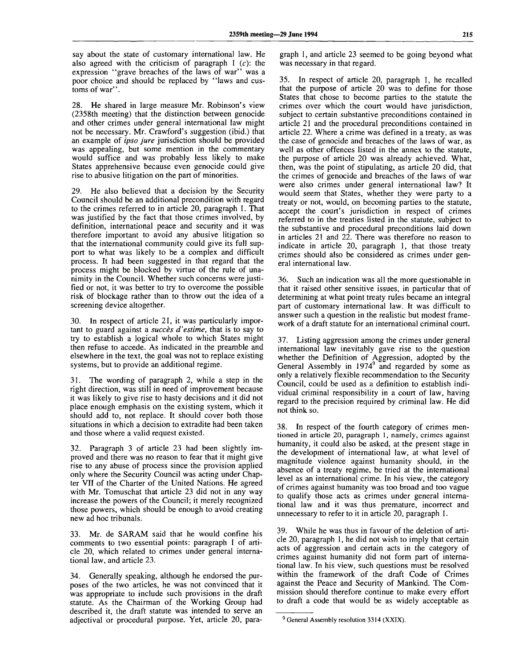say about the state of customary international law. He also agreed with the criticism of paragraph  $1$  (c): the expression "grave breaches of the laws of war" was a poor choice and should be replaced by "laws and customs of war".

28. He shared in large measure Mr. Robinson's view (2358th meeting) that the distinction between genocide and other crimes under general international law might not be necessary. Mr. Crawford's suggestion (ibid.) that an example of *ipso jure* jurisdiction should be provided was appealing, but some mention in the commentary would suffice and was probably less likely to make States apprehensive because even genocide could give rise to abusive litigation on the part of minorities.

29. He also believed that a decision by the Security Council should be an additional precondition with regard to the crimes referred to in article 20, paragraph 1. That was justified by the fact that those crimes involved, by definition, international peace and security and it was therefore important to avoid any abusive litigation so that the international community could give its full support to what was likely to be a complex and difficult process. It had been suggested in that regard that the process might be blocked by virtue of the rule of unanimity in the Council. Whether such concerns were justified or not, it was better to try to overcome the possible risk of blockage rather than to throw out the idea of a screening device altogether.

30. In respect of article 21, it was particularly important to guard against a *succes d'estime,* that is to say to try to establish a logical whole to which States might then refuse to accede. As indicated in the preamble and elsewhere in the text, the goal was not to replace existing systems, but to provide an additional regime.

31. The wording of paragraph 2, while a step in the right direction, was still in need of improvement because it was likely to give rise to hasty decisions and it did not place enough emphasis on the existing system, which it should add to, not replace. It should cover both those situations in which a decision to extradite had been taken and those where a valid request existed.

32. Paragraph 3 of article 23 had been slightly improved and there was no reason to fear that it might give rise to any abuse of process since the provision applied only where the Security Council was acting under Chapter VII of the Charter of the United Nations. He agreed with Mr. Tomuschat that article 23 did not in any way increase the powers of the Council; it merely recognized those powers, which should be enough to avoid creating new ad hoc tribunals.

33. Mr. de SARAM said that he would confine his comments to two essential points: paragraph 1 of article 20, which related to crimes under general international law, and article 23.

34. Generally speaking, although he endorsed the purposes of the two articles, he was not convinced that it was appropriate to include such provisions in the draft statute. As the Chairman of the Working Group had described it, the draft statute was intended to serve an adjectival or procedural purpose. Yet, article 20, paragraph 1, and article 23 seemed to be going beyond what was necessary in that regard.

35. In respect of article 20, paragraph 1, he recalled that the purpose of article 20 was to define for those States that chose to become parties to the statute the crimes over which the court would have jurisdiction, subject to certain substantive preconditions contained in article 21 and the procedural preconditions contained in article 22. Where a crime was defined in a treaty, as was the case of genocide and breaches of the laws of war, as well as other offences listed in the annex to the statute, the purpose of article 20 was already achieved. What, then, was the point of stipulating, as article 20 did, that the crimes of genocide and breaches of the laws of war were also crimes under general international law? It would seem that States, whether they were party to a treaty or not, would, on becoming parties to the statute, accept the court's jurisdiction in respect of crimes referred to in the treaties listed in the statute, subject to the substantive and procedural preconditions laid down in articles 21 and 22. There was therefore no reason to indicate in article 20, paragraph 1, that those treaty crimes should also be considered as crimes under general international law.

36. Such an indication was all the more questionable in that it raised other sensitive issues, in particular that of determining at what point treaty rules became an integral part of customary international law. It was difficult to answer such a question in the realistic but modest framework of a draft statute for an international criminal court.

37. Listing aggression among the crimes under general international law inevitably gave rise to the question whether the Definition of Aggression, adopted by the General Assembly in  $1974^9$  and regarded by some as only a relatively flexible recommendation to the Security Council, could be used as a definition to establish individual criminal responsibility in a court of law, having regard to the precision required by criminal law. He did not think so.

38. In respect of the fourth category of crimes mentioned in article 20, paragraph 1, namely, crimes against humanity, it could also be asked, at the present stage in the development of international law, at what level of magnitude violence against humanity should, in the absence of a treaty regime, be tried at the international level as an international crime. In his view, the category of crimes against humanity was too broad and too vague to qualify those acts as crimes under general international law and it was thus premature, incorrect and unnecessary to refer to it in article 20, paragraph 1.

39. While he was thus in favour of the deletion of article 20, paragraph 1, he did not wish to imply that certain acts of aggression and certain acts in the category of crimes against humanity did not form part of international law. In his view, such questions must be resolved within the framework of the draft Code of Crimes against the Peace and Security of Mankind. The Commission should therefore continue to make every effort to draft a code that would be as widely acceptable as

<sup>&</sup>lt;sup>9</sup> General Assembly resolution 3314 (XXIX).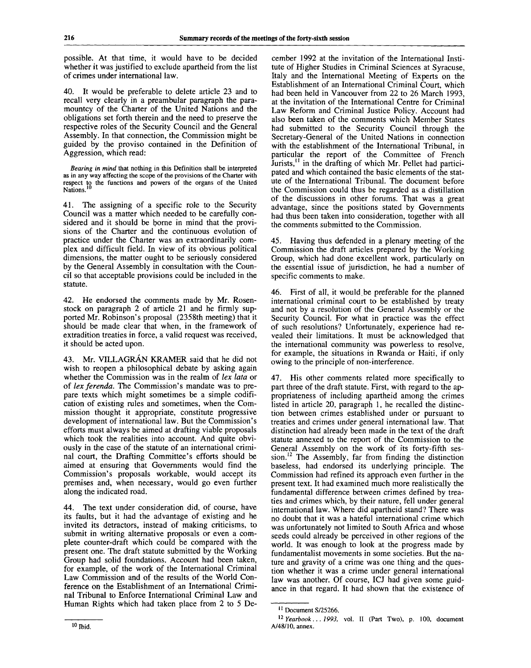possible. At that time, it would have to be decided whether it was justified to exclude apartheid from the list of crimes under international law.

40. It would be preferable to delete article 23 and to recall very clearly in a preambular paragraph the paramountcy of the Charter of the United Nations and the obligations set forth therein and the need to preserve the respective roles of the Security Council and the General Assembly. In that connection, the Commission might be guided by the proviso contained in the Definition of Aggression, which read:

*Bearing in mind* that nothing in this Definition shall be interpreted as in any way affecting the scope of the provisions of the Charter with respect to the functions and powers of the organs of the United<br>Nations.<sup>10</sup>

41. The assigning of a specific role to the Security Council was a matter which needed to be carefully considered and it should be borne in mind that the provisions of the Charter and the continuous evolution of practice under the Charter was an extraordinarily complex and difficult field. In view of its obvious political dimensions, the matter ought to be seriously considered by the General Assembly in consultation with the Council so that acceptable provisions could be included in the statute.

42. He endorsed the comments made by Mr. Rosenstock on paragraph 2 of article 21 and he firmly supported Mr. Robinson's proposal (2358th meeting) that it should be made clear that when, in the framework of extradition treaties in force, a valid request was received, it should be acted upon.

43. Mr. VILLAGRAN KRAMER said that he did not wish to reopen a philosophical debate by asking again whether the Commission was in the realm of *lex lata* or of *lex ferenda.* The Commission's mandate was to prepare texts which might sometimes be a simple codification of existing rules and sometimes, when the Commission thought it appropriate, constitute progressive development of international law. But the Commission's efforts must always be aimed at drafting viable proposals which took the realities into account. And quite obviously in the case of the statute of an international criminal court, the Drafting Committee's efforts should be aimed at ensuring that Governments would find the Commission's proposals workable, would accept its premises and, when necessary, would go even further along the indicated road.

44. The text under consideration did, of course, have its faults, but it had the advantage of existing and he invited its detractors, instead of making criticisms, to submit in writing alternative proposals or even a complete counter-draft which could be compared with the present one. The draft statute submitted by the Working Group had solid foundations. Account had been taken, for example, of the work of the International Criminal Law Commission and of the results of the World Conference on the Establishment of an International Criminal Tribunal to Enforce International Criminal Law and Human Rights which had taken place from 2 to 5 December 1992 at the invitation of the International Institute of Higher Studies in Criminal Sciences at Syracuse, Italy and the International Meeting of Experts on the Establishment of an International Criminal Court, which had been held in Vancouver from 22 to 26 March 1993, at the invitation of the International Centre for Criminal Law Reform and Criminal Justice Policy. Account had also been taken of the comments which Member States had submitted to the Security Council through the Secretary-General of the United Nations in connection with the establishment of the International Tribunal, in particular the report of the Committee of French Jurists,<sup>11</sup> in the drafting of which Mr. Pellet had participated and which contained the basic elements of the statute of the International Tribunal. The document before the Commission could thus be regarded as a distillation of the discussions in other forums. That was a great advantage, since the positions stated by Governments had thus been taken into consideration, together with all the comments submitted to the Commission.

45. Having thus defended in a plenary meeting of the Commission the draft articles prepared by the Working Group, which had done excellent work, particularly on the essential issue of jurisdiction, he had a number of specific comments to make.

46. First of all, it would be preferable for the planned international criminal court to be established by treaty and not by a resolution of the General Assembly or the Security Council. For what in practice was the effect of such resolutions? Unfortunately, experience had revealed their limitations. It must be acknowledged that the international community was powerless to resolve, for example, the situations in Rwanda or Haiti, if only owing to the principle of non-interference.

47. His other comments related more specifically to part three of the draft statute. First, with regard to the appropriateness of including apartheid among the crimes listed in article 20, paragraph 1, he recalled the distinction between crimes established under or pursuant to treaties and crimes under general international law. That distinction had already been made in the text of the draft statute annexed to the report of the Commission to the General Assembly on the work of its forty-fifth session.<sup>12</sup> The Assembly, far from finding the distinction baseless, had endorsed its underlying principle. The Commission had refined its approach even further in the present text. It had examined much more realistically the fundamental difference between crimes defined by treaties and crimes which, by their nature, fell under general international law. Where did apartheid stand? There was no doubt that it was a hateful international crime which was unfortunately not limited to South Africa and whose seeds could already be perceived in other regions of the world. It was enough to look at the progress made by fundamentalist movements in some societies. But the nature and gravity of a crime was one thing and the question whether it was a crime under general international law was another. Of course, ICJ had given some guidance in that regard. It had shown that the existence of

<sup>&</sup>lt;sup>11</sup> Document S/25266.

<sup>12</sup>  *Yearbook... 1993,* vol. II (Part Two), p. 100, document A/48/10, annex.